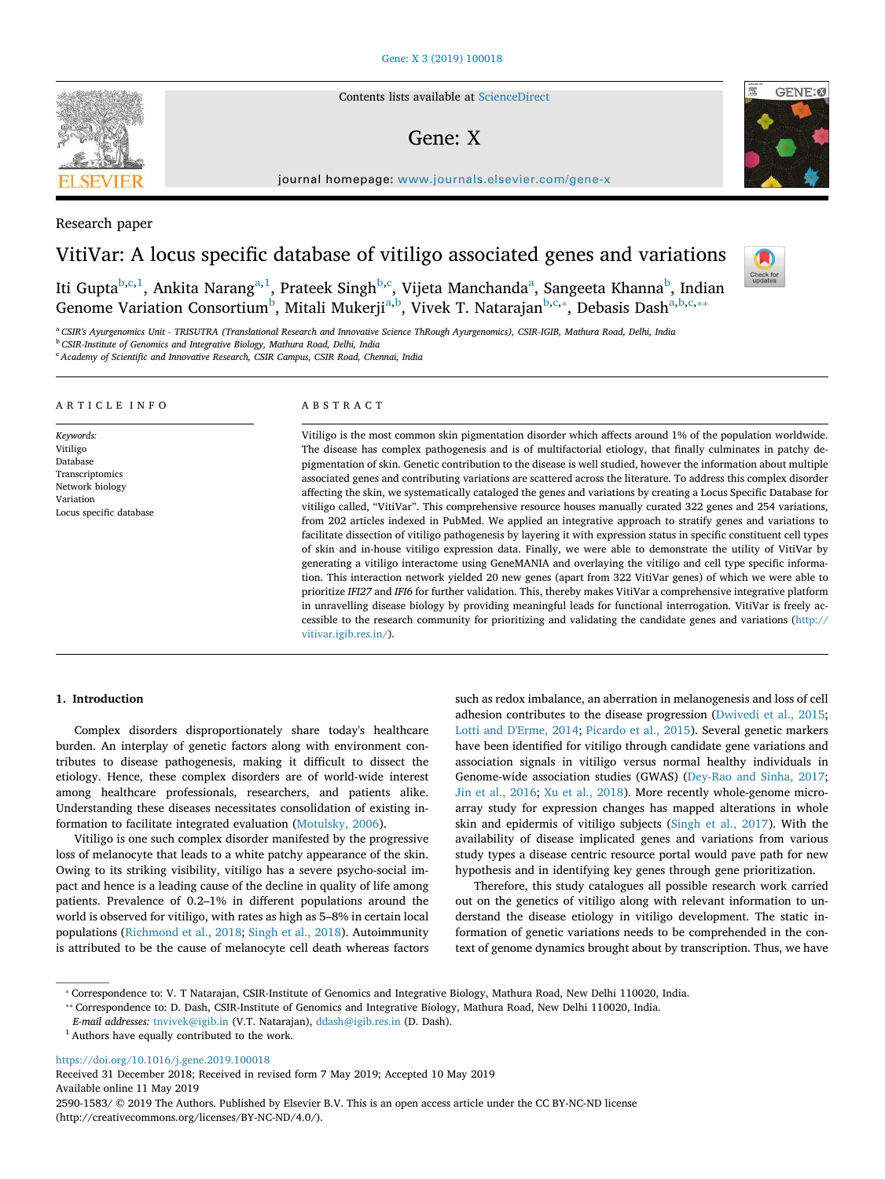Contents lists available at ScienceDirect

## Gene: X

journal homepage: www.journals.elsevier.com/gene-x

Research paper

# VitiVar: A locus specific database of vitiligo associated genes and variations

Iti Gupta<sup>b,c,1</sup>, Ankita Narang<sup>a,1</sup>, Prateek Singh<sup>b,c</sup>, Vijeta Manchanda<sup>a</sup>, Sangeeta Khanna<sup>b</sup>, Indian Genome Variation Consortium $^{\rm b}$ , Mitali Mukerji $^{\rm a,b}$ , Vivek T. Natarajan $^{\rm b,c, *}$ , Debasis Dash $^{\rm a,b,c, *}$ 

<sup>a</sup> *CSIR's Ayurgenomics Unit - TRISUTRA (Translational Research and Innovative Science ThRough Ayurgenomics), CSIR-IGIB, Mathura Road, Delhi, India* <sup>b</sup> *CSIR-Institute of Genomics and Integrative Biology, Mathura Road, Delhi, India*

vitivar.igib.res.in/).

<sup>c</sup> *Academy of Scienti*fi*c and Innovative Research, CSIR Campus, CSIR Road, Chennai, India*

| ARTICLE INFO                                                                                                    | ABSTRACT                                                                                                                                                                                                                                                                                                                                                                                                                                                                                                                                                                                                                                                                                                                                                                                                                                                                                                                                                                                                                                                                                                                                                                                                                                                                                                                                                                                                                                                                                                                                                                                                                                                              |
|-----------------------------------------------------------------------------------------------------------------|-----------------------------------------------------------------------------------------------------------------------------------------------------------------------------------------------------------------------------------------------------------------------------------------------------------------------------------------------------------------------------------------------------------------------------------------------------------------------------------------------------------------------------------------------------------------------------------------------------------------------------------------------------------------------------------------------------------------------------------------------------------------------------------------------------------------------------------------------------------------------------------------------------------------------------------------------------------------------------------------------------------------------------------------------------------------------------------------------------------------------------------------------------------------------------------------------------------------------------------------------------------------------------------------------------------------------------------------------------------------------------------------------------------------------------------------------------------------------------------------------------------------------------------------------------------------------------------------------------------------------------------------------------------------------|
| Keywords:<br>Vitiligo<br>Database<br>Transcriptomics<br>Network biology<br>Variation<br>Locus specific database | Vitiligo is the most common skin pigmentation disorder which affects around 1% of the population worldwide.<br>The disease has complex pathogenesis and is of multifactorial etiology, that finally culminates in patchy de-<br>pigmentation of skin. Genetic contribution to the disease is well studied, however the information about multiple<br>associated genes and contributing variations are scattered across the literature. To address this complex disorder<br>affecting the skin, we systematically cataloged the genes and variations by creating a Locus Specific Database for<br>vitiligo called, "VitiVar". This comprehensive resource houses manually curated 322 genes and 254 variations,<br>from 202 articles indexed in PubMed. We applied an integrative approach to stratify genes and variations to<br>facilitate dissection of vitiligo pathogenesis by layering it with expression status in specific constituent cell types<br>of skin and in-house vitiligo expression data. Finally, we were able to demonstrate the utility of VitiVar by<br>generating a vitiligo interactome using GeneMANIA and overlaying the vitiligo and cell type specific informa-<br>tion. This interaction network yielded 20 new genes (apart from 322 VitiVar genes) of which we were able to<br>prioritize IFI27 and IFI6 for further validation. This, thereby makes VitiVar a comprehensive integrative platform<br>in unravelling disease biology by providing meaningful leads for functional interrogation. VitiVar is freely ac-<br>cessible to the research community for prioritizing and validating the candidate genes and variations (http:// |

### 1. Introduction

Complex disorders disproportionately share today's healthcare burden. An interplay of genetic factors along with environment contributes to disease pathogenesis, making it difficult to dissect the etiology. Hence, these complex disorders are of world-wide interest among healthcare professionals, researchers, and patients alike. Understanding these diseases necessitates consolidation of existing information to facilitate integrated evaluation (Motulsky, 2006).

Vitiligo is one such complex disorder manifested by the progressive loss of melanocyte that leads to a white patchy appearance of the skin. Owing to its striking visibility, vitiligo has a severe psycho-social impact and hence is a leading cause of the decline in quality of life among patients. Prevalence of 0.2–1% in different populations around the world is observed for vitiligo, with rates as high as 5–8% in certain local populations (Richmond et al., 2018; Singh et al., 2018). Autoimmunity is attributed to be the cause of melanocyte cell death whereas factors such as redox imbalance, an aberration in melanogenesis and loss of cell adhesion contributes to the disease progression (Dwivedi et al., 2015; Lotti and D'Erme, 2014; Picardo et al., 2015). Several genetic markers have been identified for vitiligo through candidate gene variations and association signals in vitiligo versus normal healthy individuals in Genome-wide association studies (GWAS) (Dey-Rao and Sinha, 2017; Jin et al., 2016; Xu et al., 2018). More recently whole-genome microarray study for expression changes has mapped alterations in whole skin and epidermis of vitiligo subjects (Singh et al., 2017). With the availability of disease implicated genes and variations from various study types a disease centric resource portal would pave path for new hypothesis and in identifying key genes through gene prioritization.

Therefore, this study catalogues all possible research work carried out on the genetics of vitiligo along with relevant information to understand the disease etiology in vitiligo development. The static information of genetic variations needs to be comprehended in the context of genome dynamics brought about by transcription. Thus, we have

https://doi.org/10.1016/j.gene.2019.100018

Received 31 December 2018; Received in revised form 7 May 2019; Accepted 10 May 2019 Available online 11 May 2019 2590-1583/ © 2019 The Authors. Published by Elsevier B.V. This is an open access article under the CC BY-NC-ND license (http://creativecommons.org/licenses/BY-NC-ND/4.0/).







<sup>⁎</sup> Correspondence to: V. T Natarajan, CSIR-Institute of Genomics and Integrative Biology, Mathura Road, New Delhi 110020, India.

<sup>⁎⁎</sup> Correspondence to: D. Dash, CSIR-Institute of Genomics and Integrative Biology, Mathura Road, New Delhi 110020, India.

*E-mail addresses:* tnvivek@igib.in (V.T. Natarajan), ddash@igib.res.in (D. Dash).

<sup>1</sup> Authors have equally contributed to the work.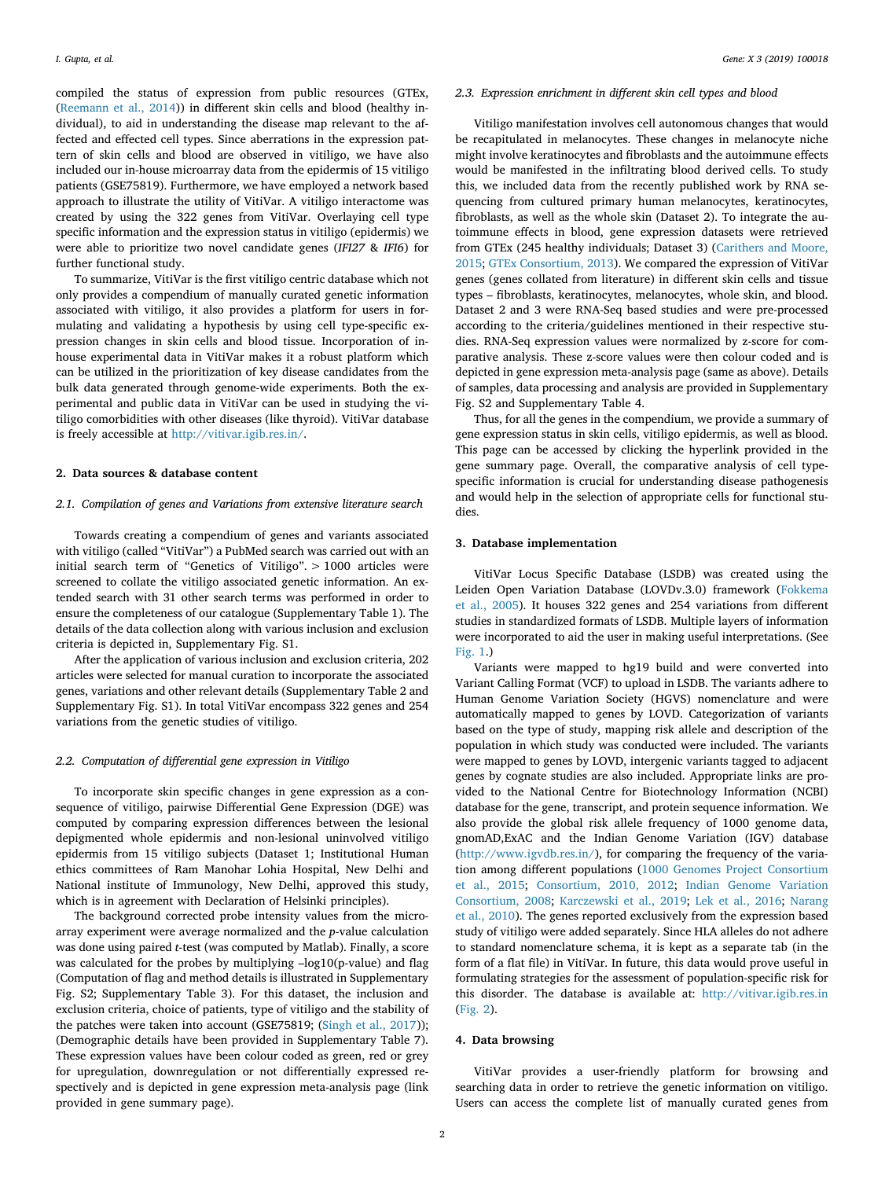compiled the status of expression from public resources (GTEx, (Reemann et al., 2014)) in different skin cells and blood (healthy individual), to aid in understanding the disease map relevant to the affected and effected cell types. Since aberrations in the expression pattern of skin cells and blood are observed in vitiligo, we have also included our in-house microarray data from the epidermis of 15 vitiligo patients (GSE75819). Furthermore, we have employed a network based approach to illustrate the utility of VitiVar. A vitiligo interactome was created by using the 322 genes from VitiVar. Overlaying cell type specific information and the expression status in vitiligo (epidermis) we were able to prioritize two novel candidate genes (*IFI27* & *IFI6*) for further functional study.

To summarize, VitiVar is the first vitiligo centric database which not only provides a compendium of manually curated genetic information associated with vitiligo, it also provides a platform for users in formulating and validating a hypothesis by using cell type-specific expression changes in skin cells and blood tissue. Incorporation of inhouse experimental data in VitiVar makes it a robust platform which can be utilized in the prioritization of key disease candidates from the bulk data generated through genome-wide experiments. Both the experimental and public data in VitiVar can be used in studying the vitiligo comorbidities with other diseases (like thyroid). VitiVar database is freely accessible at http://vitivar.igib.res.in/.

### 2. Data sources & database content

### *2.1. Compilation of genes and Variations from extensive literature search*

Towards creating a compendium of genes and variants associated with vitiligo (called "VitiVar") a PubMed search was carried out with an initial search term of "Genetics of Vitiligo". > 1000 articles were screened to collate the vitiligo associated genetic information. An extended search with 31 other search terms was performed in order to ensure the completeness of our catalogue (Supplementary Table 1). The details of the data collection along with various inclusion and exclusion criteria is depicted in, Supplementary Fig. S1.

After the application of various inclusion and exclusion criteria, 202 articles were selected for manual curation to incorporate the associated genes, variations and other relevant details (Supplementary Table 2 and Supplementary Fig. S1). In total VitiVar encompass 322 genes and 254 variations from the genetic studies of vitiligo.

### *2.2. Computation of di*ff*erential gene expression in Vitiligo*

To incorporate skin specific changes in gene expression as a consequence of vitiligo, pairwise Differential Gene Expression (DGE) was computed by comparing expression differences between the lesional depigmented whole epidermis and non-lesional uninvolved vitiligo epidermis from 15 vitiligo subjects (Dataset 1; Institutional Human ethics committees of Ram Manohar Lohia Hospital, New Delhi and National institute of Immunology, New Delhi, approved this study, which is in agreement with Declaration of Helsinki principles).

The background corrected probe intensity values from the microarray experiment were average normalized and the *p*-value calculation was done using paired *t*-test (was computed by Matlab). Finally, a score was calculated for the probes by multiplying –log10(p-value) and flag (Computation of flag and method details is illustrated in Supplementary Fig. S2; Supplementary Table 3). For this dataset, the inclusion and exclusion criteria, choice of patients, type of vitiligo and the stability of the patches were taken into account (GSE75819; (Singh et al., 2017)); (Demographic details have been provided in Supplementary Table 7). These expression values have been colour coded as green, red or grey for upregulation, downregulation or not differentially expressed respectively and is depicted in gene expression meta-analysis page (link provided in gene summary page).

#### *2.3. Expression enrichment in di*ff*erent skin cell types and blood*

Vitiligo manifestation involves cell autonomous changes that would be recapitulated in melanocytes. These changes in melanocyte niche might involve keratinocytes and fibroblasts and the autoimmune effects would be manifested in the infiltrating blood derived cells. To study this, we included data from the recently published work by RNA sequencing from cultured primary human melanocytes, keratinocytes, fibroblasts, as well as the whole skin (Dataset 2). To integrate the autoimmune effects in blood, gene expression datasets were retrieved from GTEx (245 healthy individuals; Dataset 3) (Carithers and Moore, 2015; GTEx Consortium, 2013). We compared the expression of VitiVar genes (genes collated from literature) in different skin cells and tissue types – fibroblasts, keratinocytes, melanocytes, whole skin, and blood. Dataset 2 and 3 were RNA-Seq based studies and were pre-processed according to the criteria/guidelines mentioned in their respective studies. RNA-Seq expression values were normalized by z-score for comparative analysis. These z-score values were then colour coded and is depicted in gene expression meta-analysis page (same as above). Details of samples, data processing and analysis are provided in Supplementary Fig. S2 and Supplementary Table 4.

Thus, for all the genes in the compendium, we provide a summary of gene expression status in skin cells, vitiligo epidermis, as well as blood. This page can be accessed by clicking the hyperlink provided in the gene summary page. Overall, the comparative analysis of cell typespecific information is crucial for understanding disease pathogenesis and would help in the selection of appropriate cells for functional studies.

### 3. Database implementation

VitiVar Locus Specific Database (LSDB) was created using the Leiden Open Variation Database (LOVDv.3.0) framework (Fokkema et al., 2005). It houses 322 genes and 254 variations from different studies in standardized formats of LSDB. Multiple layers of information were incorporated to aid the user in making useful interpretations. (See Fig. 1.)

Variants were mapped to hg19 build and were converted into Variant Calling Format (VCF) to upload in LSDB. The variants adhere to Human Genome Variation Society (HGVS) nomenclature and were automatically mapped to genes by LOVD. Categorization of variants based on the type of study, mapping risk allele and description of the population in which study was conducted were included. The variants were mapped to genes by LOVD, intergenic variants tagged to adjacent genes by cognate studies are also included. Appropriate links are provided to the National Centre for Biotechnology Information (NCBI) database for the gene, transcript, and protein sequence information. We also provide the global risk allele frequency of 1000 genome data, gnomAD,ExAC and the Indian Genome Variation (IGV) database (http://www.igvdb.res.in/), for comparing the frequency of the variation among different populations (1000 Genomes Project Consortium et al., 2015; Consortium, 2010, 2012; Indian Genome Variation Consortium, 2008; Karczewski et al., 2019; Lek et al., 2016; Narang et al., 2010). The genes reported exclusively from the expression based study of vitiligo were added separately. Since HLA alleles do not adhere to standard nomenclature schema, it is kept as a separate tab (in the form of a flat file) in VitiVar. In future, this data would prove useful in formulating strategies for the assessment of population-specific risk for this disorder. The database is available at: http://vitivar.igib.res.in (Fig. 2).

### 4. Data browsing

VitiVar provides a user-friendly platform for browsing and searching data in order to retrieve the genetic information on vitiligo. Users can access the complete list of manually curated genes from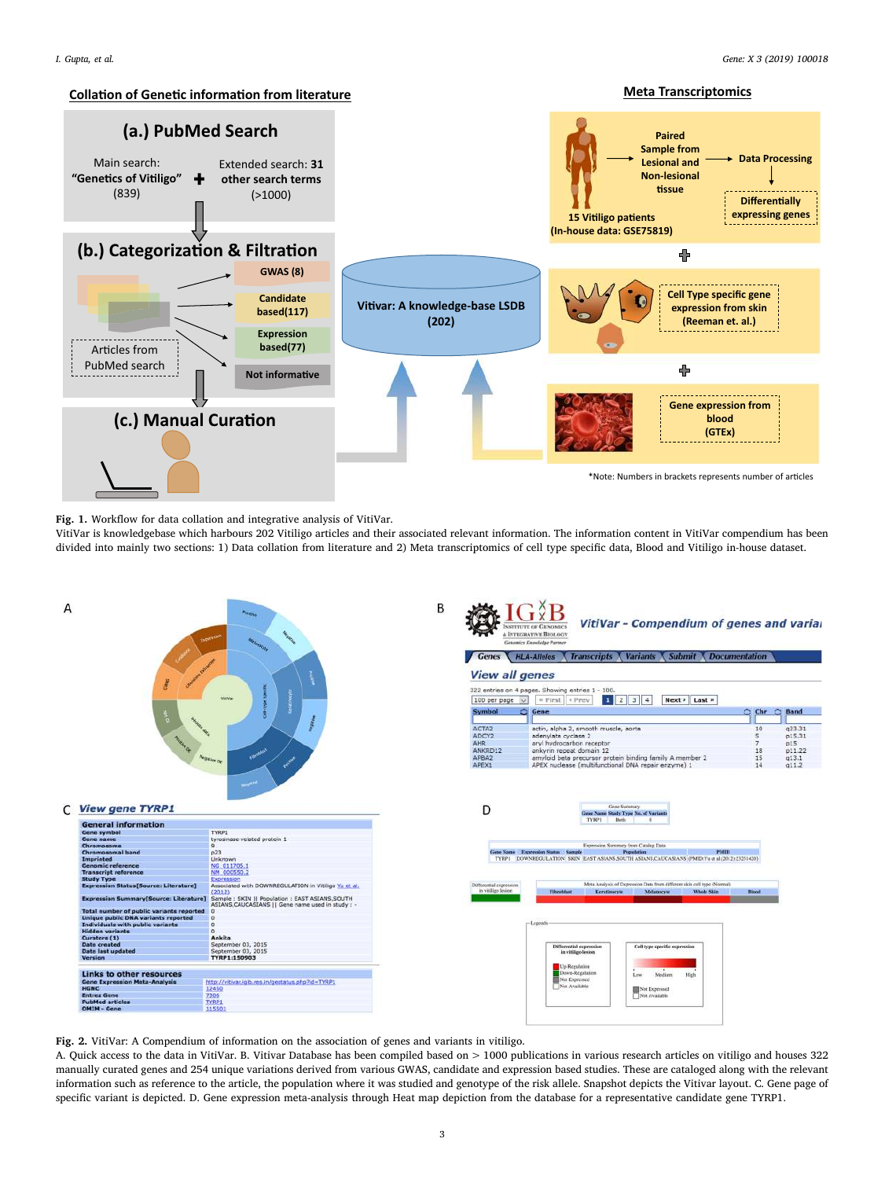**Meta Transcriptomics** 

### **<u>Collation of Genetic informati</u>**



Fig. 1. Workflow for data collation and integrative analysis of VitiVar.

VitiVar is knowledgebase which harbours 202 Vitiligo articles and their associated relevant information. The information content in VitiVar compendium has been divided into mainly two sections: 1) Data collation from literature and 2) Meta transcriptomics of cell type specific data, Blood and Vitiligo in-house dataset.



Fig. 2. VitiVar: A Compendium of information on the association of genes and variants in vitiligo.

A. Quick access to the data in VitiVar. B. Vitivar Database has been compiled based on > 1000 publications in various research articles on vitiligo and houses 322 manually curated genes and 254 unique variations derived from various GWAS, candidate and expression based studies. These are cataloged along with the relevant information such as reference to the article, the population where it was studied and genotype of the risk allele. Snapshot depicts the Vitivar layout. C. Gene page of specific variant is depicted. D. Gene expression meta-analysis through Heat map depiction from the database for a representative candidate gene TYRP1.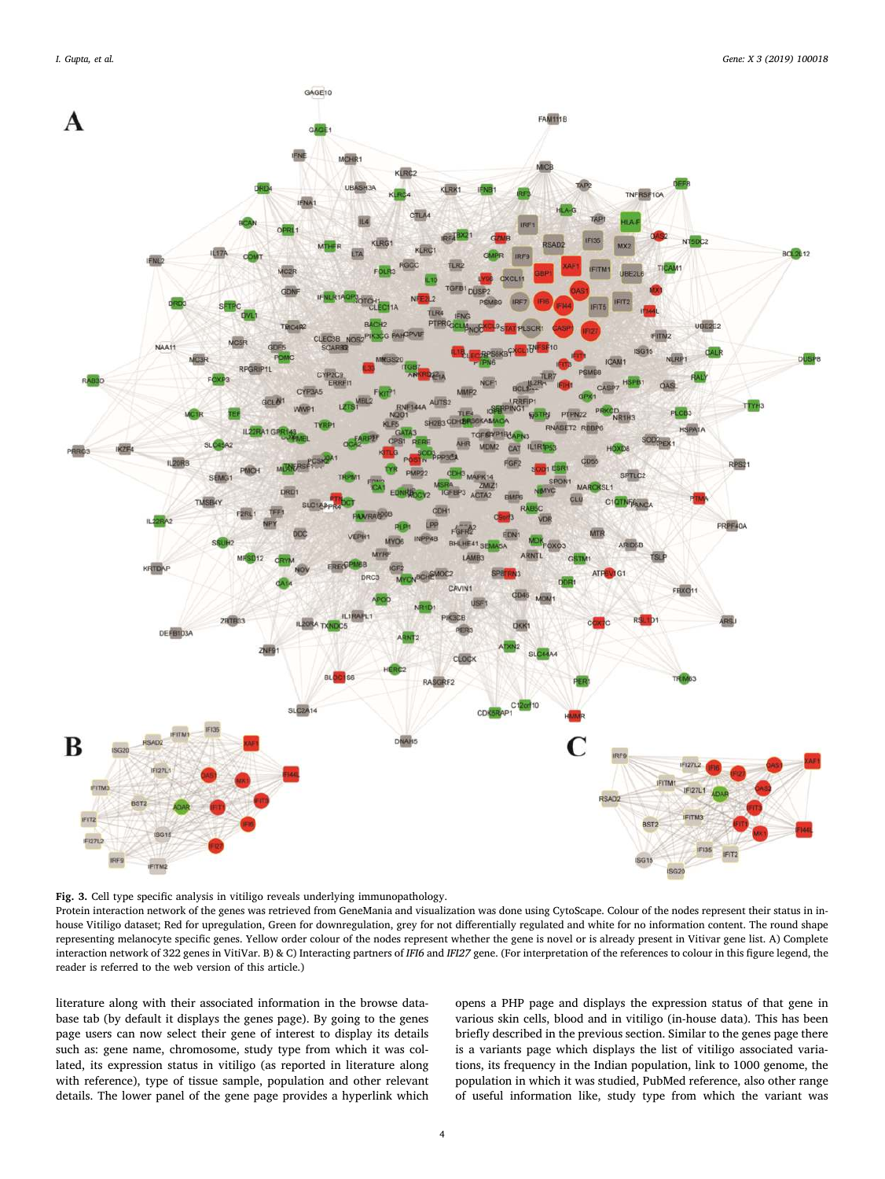

Fig. 3. Cell type specific analysis in vitiligo reveals underlying immunopathology.

Protein interaction network of the genes was retrieved from GeneMania and visualization was done using CytoScape. Colour of the nodes represent their status in inhouse Vitiligo dataset; Red for upregulation, Green for downregulation, grey for not differentially regulated and white for no information content. The round shape representing melanocyte specific genes. Yellow order colour of the nodes represent whether the gene is novel or is already present in Vitivar gene list. A) Complete interaction network of 322 genes in VitiVar. B) & C) Interacting partners of *IFI6* and *IFI27* gene. (For interpretation of the references to colour in this figure legend, the reader is referred to the web version of this article.)

literature along with their associated information in the browse database tab (by default it displays the genes page). By going to the genes page users can now select their gene of interest to display its details such as: gene name, chromosome, study type from which it was collated, its expression status in vitiligo (as reported in literature along with reference), type of tissue sample, population and other relevant details. The lower panel of the gene page provides a hyperlink which opens a PHP page and displays the expression status of that gene in various skin cells, blood and in vitiligo (in-house data). This has been briefly described in the previous section. Similar to the genes page there is a variants page which displays the list of vitiligo associated variations, its frequency in the Indian population, link to 1000 genome, the population in which it was studied, PubMed reference, also other range of useful information like, study type from which the variant was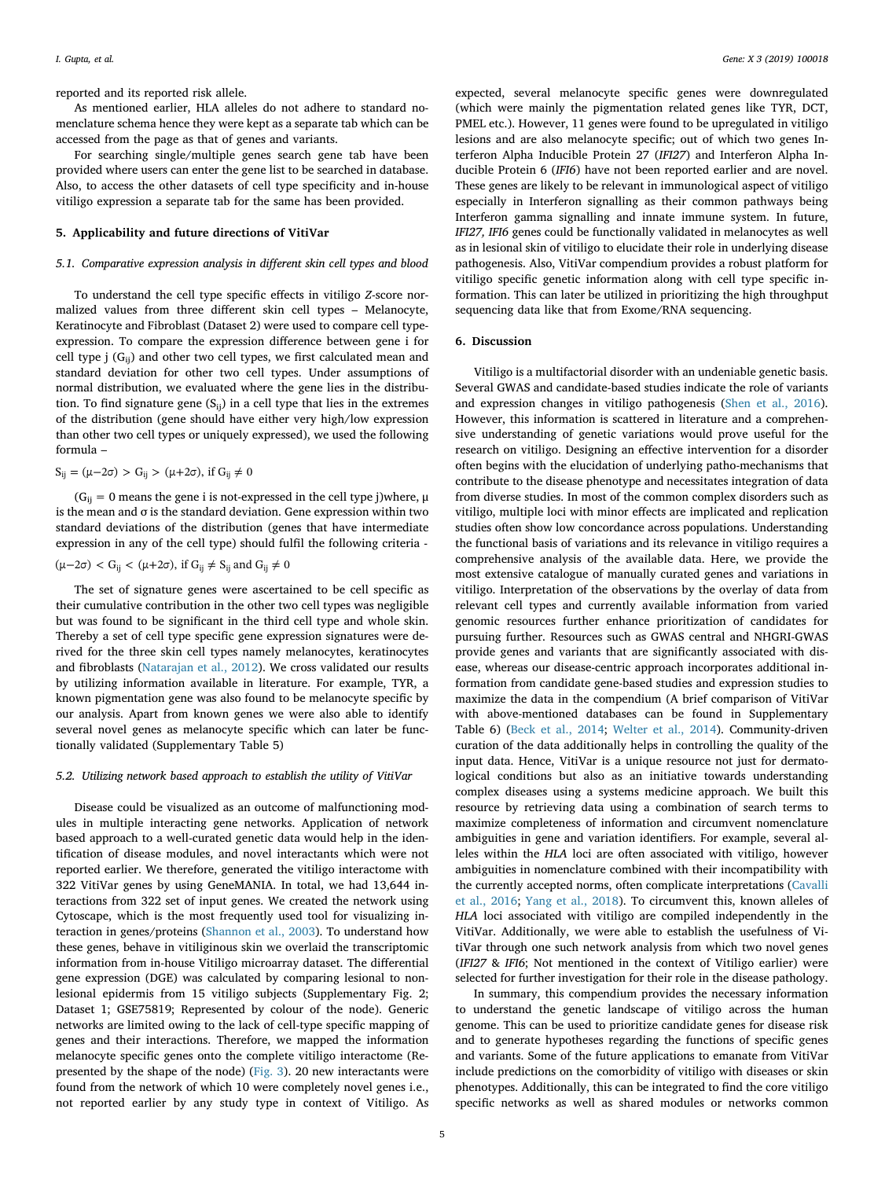reported and its reported risk allele.

As mentioned earlier, HLA alleles do not adhere to standard nomenclature schema hence they were kept as a separate tab which can be accessed from the page as that of genes and variants.

For searching single/multiple genes search gene tab have been provided where users can enter the gene list to be searched in database. Also, to access the other datasets of cell type specificity and in-house vitiligo expression a separate tab for the same has been provided.

### 5. Applicability and future directions of VitiVar

### *5.1. Comparative expression analysis in di*ff*erent skin cell types and blood*

To understand the cell type specific effects in vitiligo *Z*-score normalized values from three different skin cell types – Melanocyte, Keratinocyte and Fibroblast (Dataset 2) were used to compare cell typeexpression. To compare the expression difference between gene i for cell type j  $(G_{ii})$  and other two cell types, we first calculated mean and standard deviation for other two cell types. Under assumptions of normal distribution, we evaluated where the gene lies in the distribution. To find signature gene  $(S_{ii})$  in a cell type that lies in the extremes of the distribution (gene should have either very high/low expression than other two cell types or uniquely expressed), we used the following formula –

 $S_{ij} = (μ-2σ) > G_{ij} > (μ+2σ)$ , if  $G_{ij} ≠ 0$ 

 $(G_{ii} = 0$  means the gene i is not-expressed in the cell type j)where,  $\mu$ is the mean and  $\sigma$  is the standard deviation. Gene expression within two standard deviations of the distribution (genes that have intermediate expression in any of the cell type) should fulfil the following criteria -

$$
(\mu-2\sigma)< G_{ij} < (\mu+2\sigma), \text{ if } G_{ij}\neq S_{ij} \text{ and } G_{ij}\neq 0
$$

The set of signature genes were ascertained to be cell specific as their cumulative contribution in the other two cell types was negligible but was found to be significant in the third cell type and whole skin. Thereby a set of cell type specific gene expression signatures were derived for the three skin cell types namely melanocytes, keratinocytes and fibroblasts (Natarajan et al., 2012). We cross validated our results by utilizing information available in literature. For example, TYR, a known pigmentation gene was also found to be melanocyte specific by our analysis. Apart from known genes we were also able to identify several novel genes as melanocyte specific which can later be functionally validated (Supplementary Table 5)

### *5.2. Utilizing network based approach to establish the utility of VitiVar*

Disease could be visualized as an outcome of malfunctioning modules in multiple interacting gene networks. Application of network based approach to a well-curated genetic data would help in the identification of disease modules, and novel interactants which were not reported earlier. We therefore, generated the vitiligo interactome with 322 VitiVar genes by using GeneMANIA. In total, we had 13,644 interactions from 322 set of input genes. We created the network using Cytoscape, which is the most frequently used tool for visualizing interaction in genes/proteins (Shannon et al., 2003). To understand how these genes, behave in vitiliginous skin we overlaid the transcriptomic information from in-house Vitiligo microarray dataset. The differential gene expression (DGE) was calculated by comparing lesional to nonlesional epidermis from 15 vitiligo subjects (Supplementary Fig. 2; Dataset 1; GSE75819; Represented by colour of the node). Generic networks are limited owing to the lack of cell-type specific mapping of genes and their interactions. Therefore, we mapped the information melanocyte specific genes onto the complete vitiligo interactome (Represented by the shape of the node) (Fig. 3). 20 new interactants were found from the network of which 10 were completely novel genes i.e., not reported earlier by any study type in context of Vitiligo. As

expected, several melanocyte specific genes were downregulated (which were mainly the pigmentation related genes like TYR, DCT, PMEL etc.). However, 11 genes were found to be upregulated in vitiligo lesions and are also melanocyte specific; out of which two genes Interferon Alpha Inducible Protein 27 (*IFI27*) and Interferon Alpha Inducible Protein 6 (*IFI6*) have not been reported earlier and are novel. These genes are likely to be relevant in immunological aspect of vitiligo especially in Interferon signalling as their common pathways being Interferon gamma signalling and innate immune system. In future, *IFI27, IFI6* genes could be functionally validated in melanocytes as well as in lesional skin of vitiligo to elucidate their role in underlying disease pathogenesis. Also, VitiVar compendium provides a robust platform for vitiligo specific genetic information along with cell type specific information. This can later be utilized in prioritizing the high throughput sequencing data like that from Exome/RNA sequencing.

### 6. Discussion

Vitiligo is a multifactorial disorder with an undeniable genetic basis. Several GWAS and candidate-based studies indicate the role of variants and expression changes in vitiligo pathogenesis (Shen et al., 2016). However, this information is scattered in literature and a comprehensive understanding of genetic variations would prove useful for the research on vitiligo. Designing an effective intervention for a disorder often begins with the elucidation of underlying patho-mechanisms that contribute to the disease phenotype and necessitates integration of data from diverse studies. In most of the common complex disorders such as vitiligo, multiple loci with minor effects are implicated and replication studies often show low concordance across populations. Understanding the functional basis of variations and its relevance in vitiligo requires a comprehensive analysis of the available data. Here, we provide the most extensive catalogue of manually curated genes and variations in vitiligo. Interpretation of the observations by the overlay of data from relevant cell types and currently available information from varied genomic resources further enhance prioritization of candidates for pursuing further. Resources such as GWAS central and NHGRI-GWAS provide genes and variants that are significantly associated with disease, whereas our disease-centric approach incorporates additional information from candidate gene-based studies and expression studies to maximize the data in the compendium (A brief comparison of VitiVar with above-mentioned databases can be found in Supplementary Table 6) (Beck et al., 2014; Welter et al., 2014). Community-driven curation of the data additionally helps in controlling the quality of the input data. Hence, VitiVar is a unique resource not just for dermatological conditions but also as an initiative towards understanding complex diseases using a systems medicine approach. We built this resource by retrieving data using a combination of search terms to maximize completeness of information and circumvent nomenclature ambiguities in gene and variation identifiers. For example, several alleles within the *HLA* loci are often associated with vitiligo, however ambiguities in nomenclature combined with their incompatibility with the currently accepted norms, often complicate interpretations (Cavalli et al., 2016; Yang et al., 2018). To circumvent this, known alleles of *HLA* loci associated with vitiligo are compiled independently in the VitiVar. Additionally, we were able to establish the usefulness of VitiVar through one such network analysis from which two novel genes (*IFI27* & *IFI6*; Not mentioned in the context of Vitiligo earlier) were selected for further investigation for their role in the disease pathology.

In summary, this compendium provides the necessary information to understand the genetic landscape of vitiligo across the human genome. This can be used to prioritize candidate genes for disease risk and to generate hypotheses regarding the functions of specific genes and variants. Some of the future applications to emanate from VitiVar include predictions on the comorbidity of vitiligo with diseases or skin phenotypes. Additionally, this can be integrated to find the core vitiligo specific networks as well as shared modules or networks common